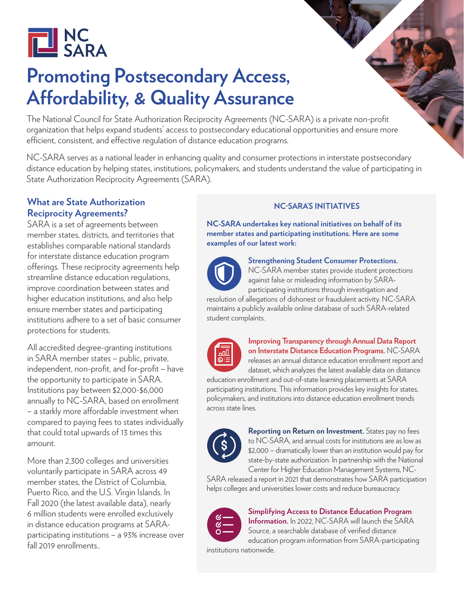

# **Promoting Postsecondary Access, Affordability, & Quality Assurance**

The National Council for State Authorization Reciprocity Agreements (NC-SARA) is a private non-profit organization that helps expand students' access to postsecondary educational opportunities and ensure more efficient, consistent, and effective regulation of distance education programs.

NC-SARA serves as a national leader in enhancing quality and consumer protections in interstate postsecondary distance education by helping states, institutions, policymakers, and students understand the value of participating in State Authorization Reciprocity Agreements (SARA).

#### **What are State Authorization Reciprocity Agreements?**

SARA is a set of agreements between member states, districts, and territories that establishes comparable national standards for interstate distance education program offerings. These reciprocity agreements help streamline distance education regulations, improve coordination between states and higher education institutions, and also help ensure member states and participating institutions adhere to a set of basic consumer protections for students.

All accredited degree-granting institutions in SARA member states – public, private, independent, non-profit, and for-profit – have the opportunity to participate in SARA. Institutions pay between \$2,000-\$6,000 annually to NC-SARA, based on enrollment – a starkly more affordable investment when compared to paying fees to states individually that could total upwards of 13 times this amount.

More than 2,300 colleges and universities voluntarily participate in SARA across 49 member states, the District of Columbia, Puerto Rico, and the U.S. Virgin Islands. In Fall 2020 (the latest available data), nearly 6 million students were enrolled exclusively in distance education programs at SARAparticipating institutions – a 93% increase over fall 2019 enrollments..

#### **NC-SARA'S INITIATIVES**

**NC-SARA undertakes key national initiatives on behalf of its member states and participating institutions. Here are some examples of our latest work:**



**Strengthening Student Consumer Protections.**  NC-SARA member states provide student protections

against false or misleading information by SARAparticipating institutions through investigation and resolution of allegations of dishonest or fraudulent activity. NC-SARA

maintains a publicly available online database of such SARA-related student complaints.



**Improving Transparency through Annual Data Report on Interstate Distance Education Programs.** NC-SARA releases an annual distance education enrollment report and

dataset, which analyzes the latest available data on distance education enrollment and out-of-state learning placements at SARA participating institutions. This information provides key insights for states, policymakers, and institutions into distance education enrollment trends across state lines.



**Reporting on Return on Investment.** States pay no fees to NC-SARA, and annual costs for institutions are as low as \$2,000 – dramatically lower than an institution would pay for state-by-state authorization. In partnership with the National Center for Higher Education Management Systems, NC-

SARA released a report in 2021 that demonstrates how SARA participation helps colleges and universities lower costs and reduce bureaucracy.



**Simplifying Access to Distance Education Program Information.** In 2022, NC-SARA will launch the SARA Source, a searchable database of verified distance education program information from SARA-participating institutions nationwide.